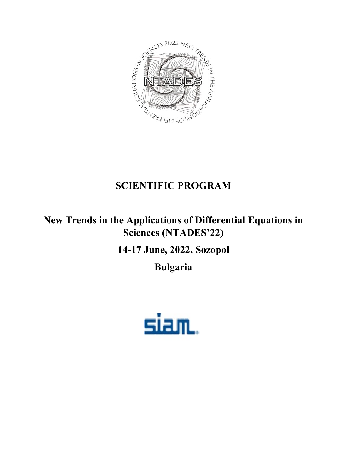

# **SCIENTIFIC PROGRAM**

# **New Trends in the Applications of Differential Equations in Sciences (NTADES'22)**

# **14-17 June, 2022, Sozopol**

**Bulgaria**

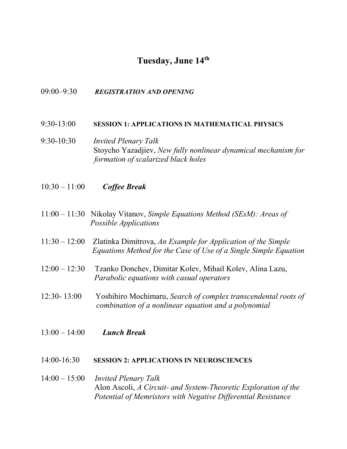# **Tuesday, June 14th**

#### 09:00–9:30 *REGISTRATION AND OPENING*

#### 9:30-13:00 **SESSION 1: APPLICATIONS IN MATHEMATICAL PHYSICS**

- 9:30-10:30 *Invited Plenary Talk* Stoycho Yazadjiev, *New fully nonlinear dynamical mechanism for formation of scalarized black holes*
- 10:30 11:00 *Coffee Break*
- 11:00 11:30 Nikolay Vitanov, *Simple Equations Method (SEsM): Areas of Possible Applications*
- 11:30 12:00 Zlatinka Dimitrova, *An Example for Application of the Simple Equations Method for the Case of Use of a Single Simple Equation*
- 12:00 12:30 Tzanko Donchev, Dimitar Kolev, Mihail Kolev, Alina Lazu, *Parabolic equations with casual operators*
- 12:30- 13:00 Yoshihiro Mochimaru, *Search of complex transcendental roots of combination of a nonlinear equation and a polynomial*
- 13:00 14:00 *Lunch Break*

#### 14:00-16:30 **SESSION 2: APPLICATIONS IN NEUROSCIENCES**

## 14:00 – 15:00 *Invited Plenary Talk* Alon Ascoli, *A Circuit- and System-Theoretic Exploration of the Potential of Memristors with Negative Differential Resistance*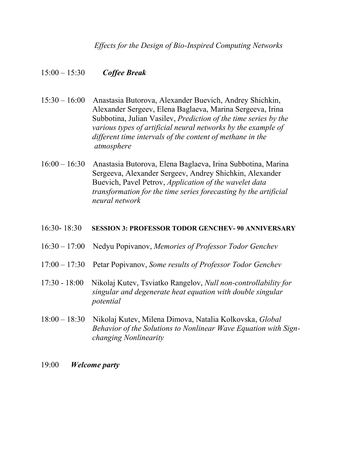*Effects for the Design of Bio-Inspired Computing Networks*

## 15:00 – 15:30 *Coffee Break*

- 15:30 16:00 Anastasia Butorova, Alexander Buevich, Andrey Shichkin, Alexander Sergeev, Elena Baglaeva, Marina Sergeeva, Irina Subbotina, Julian Vasilev, *Prediction of the time series by the various types of artificial neural networks by the example of different time intervals of the content of methane in the atmosphere*
- 16:00 16:30 Anastasia Butorova, Elena Baglaeva, Irina Subbotina, Marina Sergeeva, Alexander Sergeev, Andrey Shichkin, Alexander Buevich, Pavel Petrov, *Application of the wavelet data transformation for the time series forecasting by the artificial neural network*

#### 16:30- 18:30 **SESSION 3: PROFESSOR TODOR GENCHEV- 90 ANNIVERSARY**

- 16:30 17:00 Nedyu Popivanov, *Memories of Professor Todor Genchev*
- 17:00 17:30 Petar Popivanov, *Some results of Professor Todor Genchev*
- 17:30 18:00 Nikolaj Kutev, Tsviatko Rangelov, *Null non-controllability for singular and degenerate heat equation with double singular potential*
- 18:00 18:30 Nikolaj Kutev, Milena Dimova, Natalia Kolkovska, *Global Behavior of the Solutions to Nonlinear Wave Equation with Sign changing Nonlinearity*
- 19:00 *Welcome party*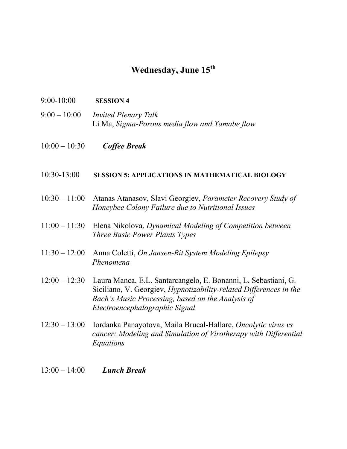## **Wednesday, June 15th**

- 9:00-10:00 **SESSION 4**
- 9:00 10:00 *Invited Plenary Talk* Li Ma, *Sigma-Porous media flow and Yamabe flow*
- 10:00 10:30 *Coffee Break*

### 10:30-13:00 **SESSION 5: APPLICATIONS IN MATHEMATICAL BIOLOGY**

- 10:30 11:00 Atanas Atanasov, Slavi Georgiev, *Parameter Recovery Study of Honeybee Colony Failure due to Nutritional Issues*
- 11:00 11:30 Elena Nikolova, *Dynamical Modeling of Competition between Three Basic Power Plants Types*
- 11:30 12:00 Anna Coletti, *On Jansen-Rit System Modeling Epilepsy Phenomena*
- 12:00 12:30 Laura Manca, E.L. Santarcangelo, E. Bonanni, L. Sebastiani, G. Siciliano, V. Georgiev, *Hypnotizability-related Differences in the Bach's Music Processing, based on the Analysis of Electroencephalographic Signal*
- 12:30 13:00 Iordanka Panayotova, Maila Brucal-Hallare, *Oncolytic virus vs cancer: Modeling and Simulation of Virotherapy with Differential Equations*
- 13:00 14:00 *Lunch Break*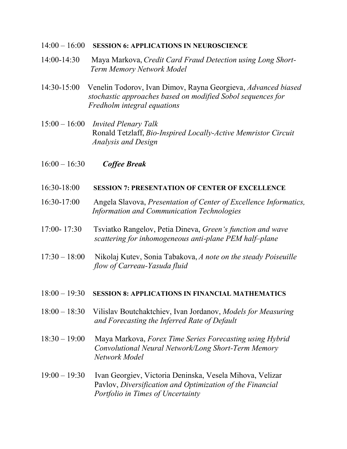#### 14:00 – 16:00 **SESSION 6: APPLICATIONS IN NEUROSCIENCE**

- 14:00-14:30 Maya Markova, *Credit Card Fraud Detection using Long Short- Term Memory Network Model*
- 14:30-15:00 Venelin Todorov, Ivan Dimov, Rayna Georgieva, *Advanced biased stochastic approaches based on modified Sobol sequences for Fredholm integral equations*
- 15:00 16:00 *Invited Plenary Talk* Ronald Tetzlaff, *Bio-Inspired Locally-Active Memristor Circuit Analysis and Design*
- 16:00 16:30 *Coffee Break*
- 16:30-18:00 **SESSION 7: PRESENTATION OF CENTER OF EXCELLENCE**
- 16:30-17:00 Angela Slavova, *Presentation of Center of Excellence Informatics, Information and Communication Technologies*
- 17:00- 17:30 Tsviatko Rangelov, Petia Dineva, *Green's function and wave scattering for inhomogeneous anti-plane PEM half–plane*
- 17:30 18:00 Nikolaj Kutev, Sonia Tabakova, *A note on the steady Poiseuille flow of Carreau-Yasuda fluid*

#### 18:00 – 19:30 **SESSION 8: APPLICATIONS IN FINANCIAL MATHEMATICS**

- 18:00 18:30 Vilislav Boutchaktchiev, Ivan Jordanov, *Models for Measuring and Forecasting the Inferred Rate of Default*
- 18:30 19:00 Maya Markova, *Forex Time Series Forecasting using Hybrid Convolutional Neural Network/Long Short-Term Memory Network Model*
- 19:00 19:30 Ivan Georgiev, Victoria Deninska, Vesela Mihova, Velizar Pavlov, *Diversification and Optimization of the Financial Portfolio in Times of Uncertainty*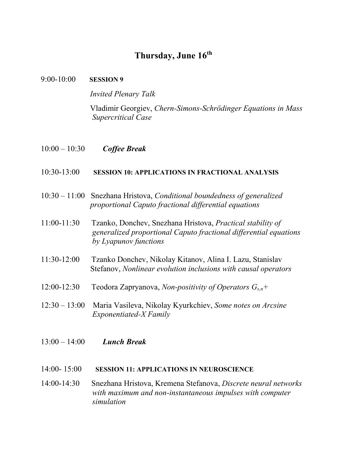# **Thursday, June 16th**

#### 9:00-10:00 **SESSION 9**

*Invited Plenary Talk*

Vladimir Georgiev, *Chern-Simons-Schrödinger Equations in Mass Supercritical Case*

10:00 – 10:30 *Coffee Break*

## 10:30-13:00 **SESSION 10: APPLICATIONS IN FRACTIONAL ANALYSIS**

- 10:30 11:00 Snezhana Hristova, *Conditional boundedness of generalized proportional Caputo fractional differential equations*
- 11:00-11:30 Tzanko, Donchev, Snezhana Hristova, *Practical stability of generalized proportional Caputo fractional differential equations by Lyapunov functions*
- 11:30-12:00 Tzanko Donchev, Nikolay Kitanov, Alina I. Lazu, Stanislav Stefanov, *Nonlinear evolution inclusions with causal operators*
- 12:00-12:30 Teodora Zapryanova, *Non-positivity of Operators Gs,n+*
- 12:30 13:00 Maria Vasileva, Nikolay Kyurkchiev, *Some notes on Arcsine Exponentiated-X Family*
- 13:00 14:00 *Lunch Break*

### 14:00- 15:00 **SESSION 11: APPLICATIONS IN NEUROSCIENCE**

14:00-14:30 Snezhana Hristova, Kremena Stefanova, *Discrete neural networks with maximum and non-instantaneous impulses with computer simulation*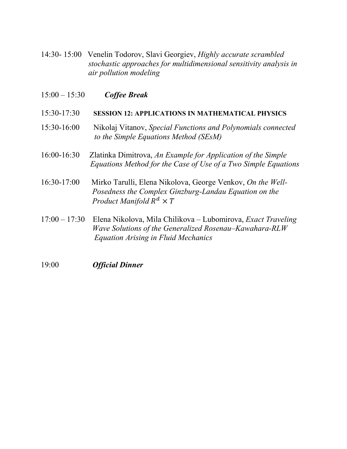- 14:30- 15:00 Venelin Todorov, Slavi Georgiev, *Highly accurate scrambled stochastic approaches for multidimensional sensitivity analysis in air pollution modeling*
- 15:00 15:30 *Coffee Break*

### 15:30-17:30 **SESSION 12: APPLICATIONS IN MATHEMATICAL PHYSICS**

- 15:30-16:00 Nikolaj Vitanov, *Special Functions and Polynomials connected to the Simple Equations Method (SEsM)*
- 16:00-16:30 Zlatinka Dimitrova, *An Example for Application of the Simple Equations Method for the Case of Use of a Two Simple Equations*
- 16:30-17:00 Mirko Tarulli, Elena Nikolova, George Venkov, *On the Well- Posedness the Complex Ginzburg-Landau Equation on the Product Manifold R*<sup>d</sup>  $\times$  *T*
- 17:00 17:30 Elena Nikolova, Mila Chilikova Lubomirova, *Exact Traveling Wave Solutions of the Generalized Rosenau–Kawahara-RLW Equation Arising in Fluid Mechanics*
- 19:00 *Official Dinner*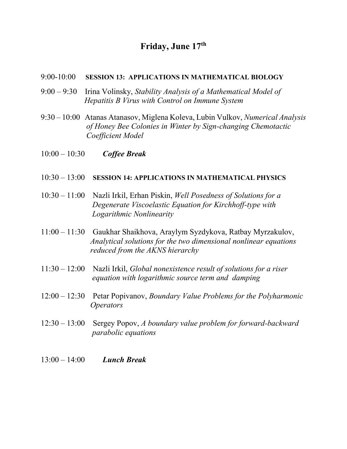# **Friday, June 17th**

#### 9:00-10:00 **SESSION 13: APPLICATIONS IN MATHEMATICAL BIOLOGY**

- 9:00 9:30 Irina Volinsky, *Stability Analysis of a Mathematical Model of Hepatitis B Virus with Control on Immune System*
- 9:30 10:00 Atanas Atanasov, Miglena Koleva, Lubin Vulkov, *Numerical Analysis of Honey Bee Colonies in Winter by Sign-changing Chemotactic Coefficient Model*
- 10:00 10:30 *Coffee Break*

### 10:30 – 13:00 **SESSION 14: APPLICATIONS IN MATHEMATICAL PHYSICS**

- 10:30 11:00 Nazli Irkil, Erhan Piskin, *Well Posedness of Solutions for a Degenerate Viscoelastic Equation for Kirchhoff-type with Logarithmic Nonlinearity*
- 11:00 11:30 Gaukhar Shaikhova, Araylym Syzdykova, Ratbay Myrzakulov, *Analytical solutions for the two dimensional nonlinear equations reduced from the AKNS hierarchy*
- 11:30 12:00 Nazli Irkil, *Global nonexistence result of solutions for a riser equation with logarithmic source term and damping*
- 12:00 12:30 Petar Popivanov, *Boundary Value Problems for the Polyharmonic Operators*
- 12:30 13:00 Sergey Popov, *A boundary value problem for forward-backward parabolic equations*
- 13:00 14:00 *Lunch Break*